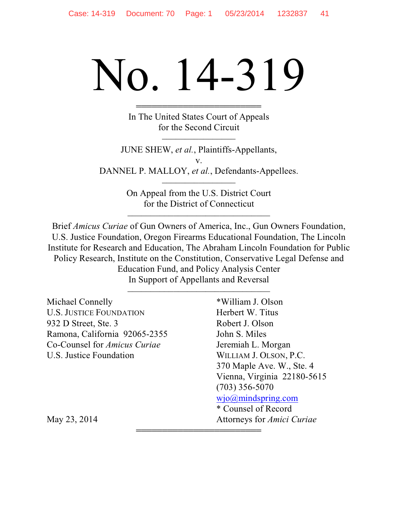# No. 14-319

444444444444444444444444 In The United States Court of Appeals for the Second Circuit

JUNE SHEW, *et al.*, Plaintiffs-Appellants, v. DANNEL P. MALLOY, *et al.*, Defendants-Appellees.

> On Appeal from the U.S. District Court for the District of Connecticut

Brief *Amicus Curiae* of Gun Owners of America, Inc., Gun Owners Foundation, U.S. Justice Foundation, Oregon Firearms Educational Foundation, The Lincoln Institute for Research and Education, The Abraham Lincoln Foundation for Public Policy Research, Institute on the Constitution, Conservative Legal Defense and Education Fund, and Policy Analysis Center In Support of Appellants and Reversal

| Michael Connelly                    | *William J. Olson                 |  |  |
|-------------------------------------|-----------------------------------|--|--|
| <b>U.S. JUSTICE FOUNDATION</b>      | Herbert W. Titus                  |  |  |
| 932 D Street, Ste. 3                | Robert J. Olson                   |  |  |
| Ramona, California 92065-2355       | John S. Miles                     |  |  |
| Co-Counsel for <i>Amicus Curiae</i> | Jeremiah L. Morgan                |  |  |
| U.S. Justice Foundation             | WILLIAM J. OLSON, P.C.            |  |  |
|                                     | 370 Maple Ave. W., Ste. 4         |  |  |
|                                     | Vienna, Virginia 22180-5615       |  |  |
|                                     | $(703)$ 356-5070                  |  |  |
|                                     | wio@mindspring.com                |  |  |
|                                     | * Counsel of Record               |  |  |
| May 23, 2014                        | Attorneys for <i>Amici Curiae</i> |  |  |
|                                     |                                   |  |  |

444444444444444444444444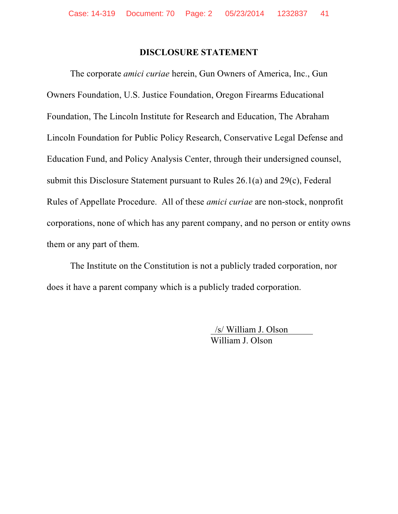#### **DISCLOSURE STATEMENT**

The corporate *amici curiae* herein, Gun Owners of America, Inc., Gun Owners Foundation, U.S. Justice Foundation, Oregon Firearms Educational Foundation, The Lincoln Institute for Research and Education, The Abraham Lincoln Foundation for Public Policy Research, Conservative Legal Defense and Education Fund, and Policy Analysis Center, through their undersigned counsel, submit this Disclosure Statement pursuant to Rules  $26.1(a)$  and  $29(c)$ , Federal Rules of Appellate Procedure. All of these *amici curiae* are non-stock, nonprofit corporations, none of which has any parent company, and no person or entity owns them or any part of them.

The Institute on the Constitution is not a publicly traded corporation, nor does it have a parent company which is a publicly traded corporation.

> /s/ William J. Olson William J. Olson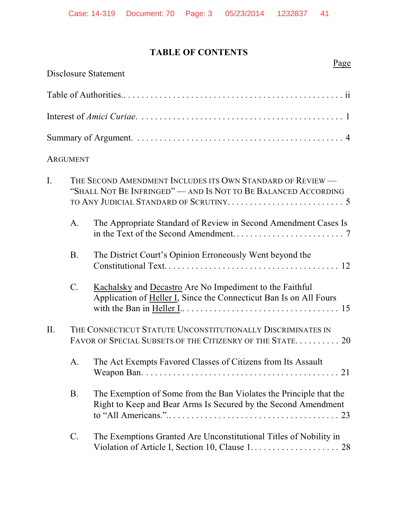# **TABLE OF CONTENTS**

|     |                 | <b>Disclosure Statement</b>                                                                                                          |
|-----|-----------------|--------------------------------------------------------------------------------------------------------------------------------------|
|     |                 |                                                                                                                                      |
|     |                 |                                                                                                                                      |
|     |                 |                                                                                                                                      |
|     | <b>ARGUMENT</b> |                                                                                                                                      |
| I.  |                 | THE SECOND AMENDMENT INCLUDES ITS OWN STANDARD OF REVIEW —<br>"SHALL NOT BE INFRINGED" — AND IS NOT TO BE BALANCED ACCORDING         |
|     | A.              | The Appropriate Standard of Review in Second Amendment Cases Is                                                                      |
|     | <b>B.</b>       | The District Court's Opinion Erroneously Went beyond the                                                                             |
|     | $C$ .           | Kachalsky and Decastro Are No Impediment to the Faithful<br>Application of Heller I, Since the Connecticut Ban Is on All Fours       |
| II. |                 | THE CONNECTICUT STATUTE UNCONSTITUTIONALLY DISCRIMINATES IN<br>FAVOR OF SPECIAL SUBSETS OF THE CITIZENRY OF THE STATE 20             |
|     |                 | A. The Act Exempts Favored Classes of Citizens from Its Assault                                                                      |
|     | <b>B.</b>       | The Exemption of Some from the Ban Violates the Principle that the<br>Right to Keep and Bear Arms Is Secured by the Second Amendment |
|     | $\mathcal{C}$ . | The Exemptions Granted Are Unconstitutional Titles of Nobility in                                                                    |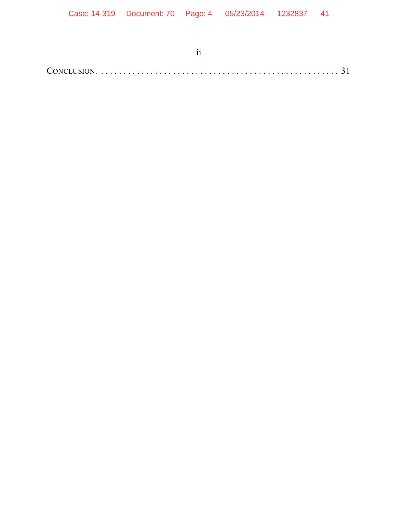| Case: 14-319  Document: 70  Page: 4  05/23/2014  1232837  41 |               |  |  |
|--------------------------------------------------------------|---------------|--|--|
|                                                              |               |  |  |
|                                                              |               |  |  |
|                                                              | $\mathbf{ii}$ |  |  |
|                                                              |               |  |  |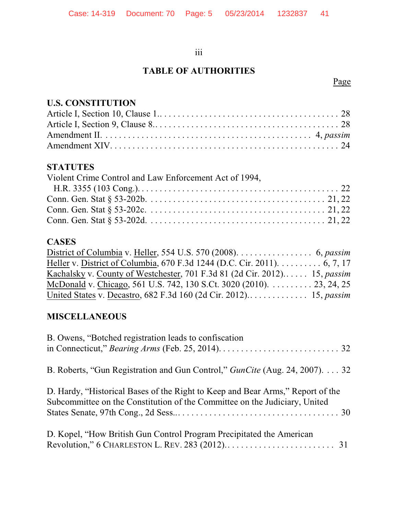# iii

# **TABLE OF AUTHORITIES**

# Page

# **U.S. CONSTITUTION**

# **STATUTES**

| Violent Crime Control and Law Enforcement Act of 1994, |  |
|--------------------------------------------------------|--|
|                                                        |  |
|                                                        |  |
|                                                        |  |
|                                                        |  |

# **CASES**

| District of Columbia v. Heller, 554 U.S. 570 (2008). $\dots \dots \dots \dots$ 6, passim |  |
|------------------------------------------------------------------------------------------|--|
| Heller v. District of Columbia, 670 F.3d 1244 (D.C. Cir. 2011). 6, 7, 17                 |  |
| Kachalsky v. County of Westchester, 701 F.3d 81 (2d Cir. 2012) 15, passim                |  |
| McDonald v. Chicago, 561 U.S. 742, 130 S.Ct. 3020 (2010). 23, 24, 25                     |  |
|                                                                                          |  |

# **MISCELLANEOUS**

| B. Owens, "Botched registration leads to confiscation                                                                                                        |
|--------------------------------------------------------------------------------------------------------------------------------------------------------------|
| B. Roberts, "Gun Registration and Gun Control," <i>GunCite</i> (Aug. 24, 2007). 32                                                                           |
| D. Hardy, "Historical Bases of the Right to Keep and Bear Arms," Report of the<br>Subcommittee on the Constitution of the Committee on the Judiciary, United |
| D. Kopel, "How British Gun Control Program Precipitated the American                                                                                         |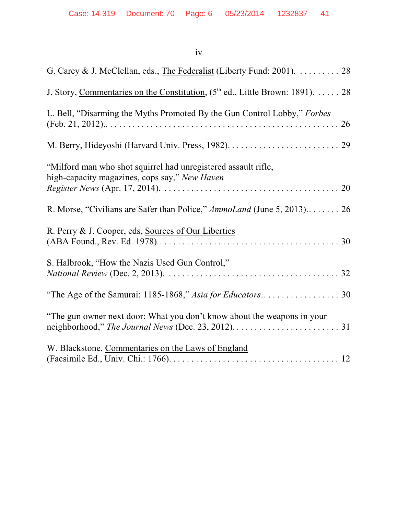# iv

| G. Carey & J. McClellan, eds., The Federalist (Liberty Fund: 2001). 28                                                                                                           |
|----------------------------------------------------------------------------------------------------------------------------------------------------------------------------------|
| J. Story, Commentaries on the Constitution, (5 <sup>th</sup> ed., Little Brown: 1891). 28                                                                                        |
| L. Bell, "Disarming the Myths Promoted By the Gun Control Lobby," Forbes                                                                                                         |
|                                                                                                                                                                                  |
| "Milford man who shot squirrel had unregistered assault rifle,<br>high-capacity magazines, cops say," New Haven                                                                  |
| R. Morse, "Civilians are Safer than Police," AmmoLand (June 5, 2013) 26                                                                                                          |
| R. Perry & J. Cooper, eds, Sources of Our Liberties                                                                                                                              |
| S. Halbrook, "How the Nazis Used Gun Control,"                                                                                                                                   |
|                                                                                                                                                                                  |
| "The gun owner next door: What you don't know about the weapons in your<br>neighborhood," The Journal News (Dec. 23, 2012). $\dots \dots \dots \dots \dots \dots \dots \dots$ 31 |
| W. Blackstone, Commentaries on the Laws of England                                                                                                                               |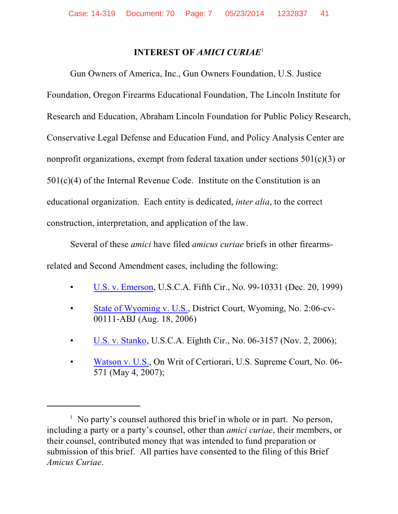#### **INTEREST OF** *AMICI CURIAE*<sup>1</sup>

Gun Owners of America, Inc., Gun Owners Foundation, U.S. Justice Foundation, Oregon Firearms Educational Foundation, The Lincoln Institute for Research and Education, Abraham Lincoln Foundation for Public Policy Research, Conservative Legal Defense and Education Fund, and Policy Analysis Center are nonprofit organizations, exempt from federal taxation under sections  $501(c)(3)$  or  $501(c)(4)$  of the Internal Revenue Code. Institute on the Constitution is an educational organization. Each entity is dedicated, *inter alia*, to the correct construction, interpretation, and application of the law.

Several of these *amici* have filed *amicus curiae* briefs in other firearmsrelated and Second Amendment cases, including the following:

- [U.S. v. Emerson](http://www.gunowners.com/amicus3.htm), U.S.C.A. Fifth Cir., No. 99-10331 (Dec. 20, 1999)
- [State of Wyoming v. U.S.](lawandfreedom.com/site/constitutional/GOF%20Wy%20amicus.pdf), District Court, Wyoming, No. 2:06-cv-00111-ABJ (Aug. 18, 2006)
- [U.S. v. Stanko](lawandfreedom.com/site/constitutional/StankoAmicus.pdf), U.S.C.A. Eighth Cir., No. 06-3157 (Nov. 2, 2006);
- [Watson v. U.S.](lawandfreedom.com/site/constitutional/Watson.pdf), On Writ of Certiorari, U.S. Supreme Court, No. 06- 571 (May 4, 2007);

 $\frac{1}{1}$  No party's counsel authored this brief in whole or in part. No person, including a party or a party's counsel, other than *amici curiae*, their members, or their counsel, contributed money that was intended to fund preparation or submission of this brief. All parties have consented to the filing of this Brief *Amicus Curiae*.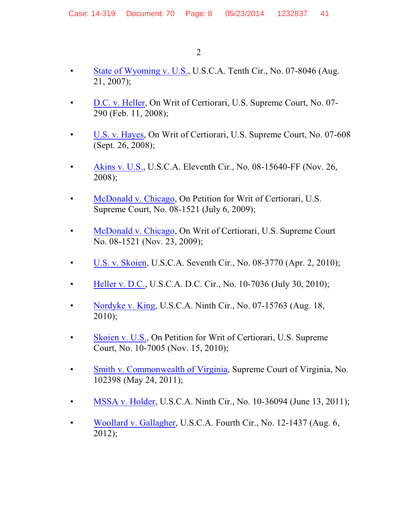- [State of Wyoming v. U.S.](lawandfreedom.com/site/constitutional/GOF%20Wy%20Amicus%2010th.pdf), U.S.C.A. Tenth Cir., No. 07-8046 (Aug. 21, 2007);
- [D.C. v. Heller](lawandfreedom.com/site/constitutional/DCvHellerAmicus.pdf), On Writ of Certiorari, U.S. Supreme Court, No. 07- 290 (Feb. 11, 2008);
- [U.S. v. Hayes](lawandfreedom.com/site/constitutional/hayes.pdf), On Writ of Certiorari, U.S. Supreme Court, No. 07-608 (Sept. 26, 2008);
- [Akins v. U.S.](lawandfreedom.com/site/constitutional/Akins_amicus.pdf), U.S.C.A. Eleventh Cir., No. 08-15640-FF (Nov. 26, 2008);
- [McDonald v. Chicago](lawandfreedom.com/site/firearms/NRA%26McDonald_Amicus.pdf), On Petition for Writ of Certiorari, U.S. Supreme Court, No. 08-1521 (July 6, 2009);
- [McDonald v. Chicago](lawandfreedom.com/site/firearms/McDonald_Amicus.pdf), On Writ of Certiorari, U.S. Supreme Court No. 08-1521 (Nov. 23, 2009);
- [U.S. v. Skoien](lawandfreedom.com/site/firearms/Skoien_amicus.pdf), U.S.C.A. Seventh Cir., No. 08-3770 (Apr. 2, 2010);
- [Heller v. D.C.](lawandfreedom.com/site/firearms/HellerII_Amicus.pdf), U.S.C.A. D.C. Cir., No. 10-7036 (July 30, 2010);
- [Nordyke v. King](lawandfreedom.com/site/firearms/Nordyke_Amicus.pdf), U.S.C.A. Ninth Cir., No. 07-15763 (Aug. 18, 2010);
- [Skoien v. U.S.](lawandfreedom.com/site/firearms/SkoienAmicusSC.pdf), On Petition for Writ of Certiorari, U.S. Supreme Court, No. 10-7005 (Nov. 15, 2010);
- [Smith v. Commonwealth of Virginia](lawandfreedom.com/site/firearms/Smith_amicus.pdf), Supreme Court of Virginia, No. 102398 (May 24, 2011);
- [MSSA v. Holder](lawandfreedom.com/site/firearms/MSSAvHolder__Amicus.pdf), U.S.C.A. Ninth Cir., No. 10-36094 (June 13, 2011);
- [Woollard v. Gallagher](lawandfreedom.com/site/firearms/WoollardvGallagher_Amicus.pdf), U.S.C.A. Fourth Cir., No. 12-1437 (Aug. 6, 2012);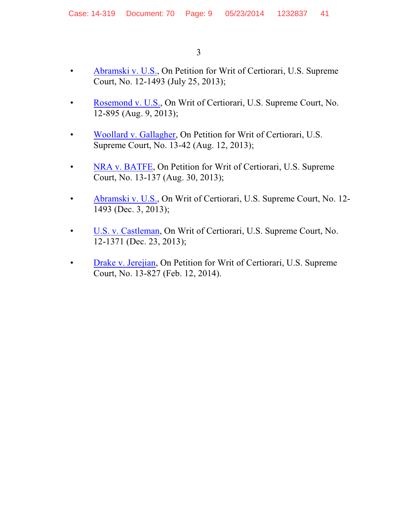$\overline{3}$ 

- Abramski v. U.S., On Petition for Writ of Certiorari, U.S. Supreme  $\bullet$ Court, No. 12-1493 (July 25, 2013);
- Rosemond v. U.S., On Writ of Certiorari, U.S. Supreme Court, No.  $\bullet$ 12-895 (Aug. 9, 2013);
- Woollard v. Gallagher, On Petition for Writ of Certiorari, U.S.  $\bullet$ Supreme Court, No. 13-42 (Aug. 12, 2013);
- NRA v. BATFE, On Petition for Writ of Certiorari, U.S. Supreme  $\bullet$ Court, No. 13-137 (Aug. 30, 2013);
- Abramski v. U.S., On Writ of Certiorari, U.S. Supreme Court, No. 12- $\bullet$ 1493 (Dec. 3, 2013);
- U.S. v. Castleman, On Writ of Certiorari, U.S. Supreme Court, No.  $\bullet$ 12-1371 (Dec. 23, 2013);
- Drake v. Jerejian, On Petition for Writ of Certiorari, U.S. Supreme  $\bullet$ Court, No. 13-827 (Feb. 12, 2014).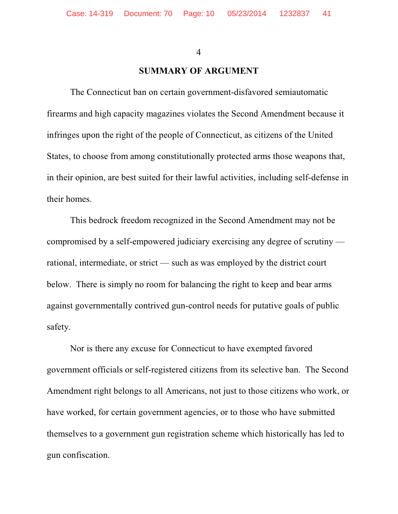$\overline{4}$ 

#### **SUMMARY OF ARGUMENT**

The Connecticut ban on certain government-disfavored semiautomatic firearms and high capacity magazines violates the Second Amendment because it infringes upon the right of the people of Connecticut, as citizens of the United States, to choose from among constitutionally protected arms those weapons that, in their opinion, are best suited for their lawful activities, including self-defense in their homes.

This bedrock freedom recognized in the Second Amendment may not be compromised by a self-empowered judiciary exercising any degree of scrutiny rational, intermediate, or strict — such as was employed by the district court below. There is simply no room for balancing the right to keep and bear arms against governmentally contrived gun-control needs for putative goals of public safety.

Nor is there any excuse for Connecticut to have exempted favored government officials or self-registered citizens from its selective ban. The Second Amendment right belongs to all Americans, not just to those citizens who work, or have worked, for certain government agencies, or to those who have submitted themselves to a government gun registration scheme which historically has led to gun confiscation.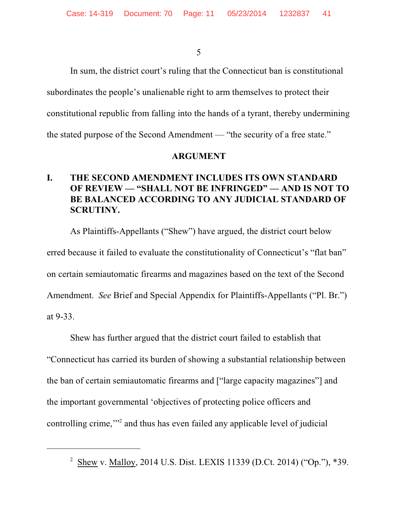In sum, the district court's ruling that the Connecticut ban is constitutional subordinates the people's unalienable right to arm themselves to protect their constitutional republic from falling into the hands of a tyrant, thereby undermining the stated purpose of the Second Amendment — "the security of a free state."

#### **ARGUMENT**

#### L. THE SECOND AMENDMENT INCLUDES ITS OWN STANDARD OF REVIEW - "SHALL NOT BE INFRINGED" - AND IS NOT TO BE BALANCED ACCORDING TO ANY JUDICIAL STANDARD OF **SCRUTINY.**

As Plaintiffs-Appellants ("Shew") have argued, the district court below erred because it failed to evaluate the constitutionality of Connecticut's "flat ban" on certain semiautomatic firearms and magazines based on the text of the Second Amendment. See Brief and Special Appendix for Plaintiffs-Appellants ("Pl. Br.") at 9-33.

Shew has further argued that the district court failed to establish that "Connecticut has carried its burden of showing a substantial relationship between the ban of certain semiautomatic firearms and ["large capacity magazines"] and the important governmental 'objectives of protecting police officers and controlling crime,"<sup>2</sup> and thus has even failed any applicable level of judicial

<sup>&</sup>lt;sup>2</sup> Shew v. Malloy, 2014 U.S. Dist. LEXIS 11339 (D.Ct. 2014) ("Op."), \*39.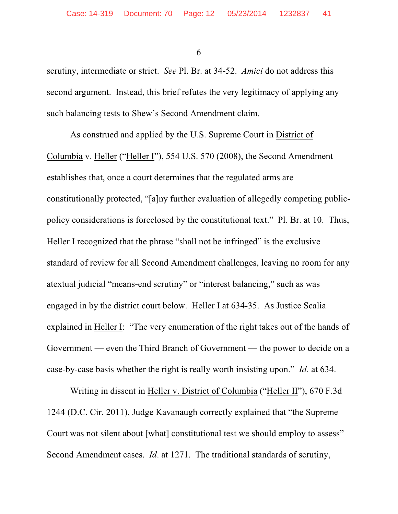scrutiny, intermediate or strict. *See* Pl. Br. at 34-52. *Amici* do not address this second argument. Instead, this brief refutes the very legitimacy of applying any such balancing tests to Shew's Second Amendment claim.

As construed and applied by the U.S. Supreme Court in District of Columbia v. Heller ("Heller I"), 554 U.S. 570 (2008), the Second Amendment establishes that, once a court determines that the regulated arms are constitutionally protected, "[a]ny further evaluation of allegedly competing publicpolicy considerations is foreclosed by the constitutional text." Pl. Br. at 10. Thus, Heller I recognized that the phrase "shall not be infringed" is the exclusive standard of review for all Second Amendment challenges, leaving no room for any atextual judicial "means-end scrutiny" or "interest balancing," such as was engaged in by the district court below. Heller I at 634-35. As Justice Scalia explained in Heller I: "The very enumeration of the right takes out of the hands of Government — even the Third Branch of Government — the power to decide on a case-by-case basis whether the right is really worth insisting upon." *Id.* at 634.

Writing in dissent in Heller v. District of Columbia ("Heller II"), 670 F.3d 1244 (D.C. Cir. 2011), Judge Kavanaugh correctly explained that "the Supreme Court was not silent about [what] constitutional test we should employ to assess" Second Amendment cases. *Id*. at 1271. The traditional standards of scrutiny,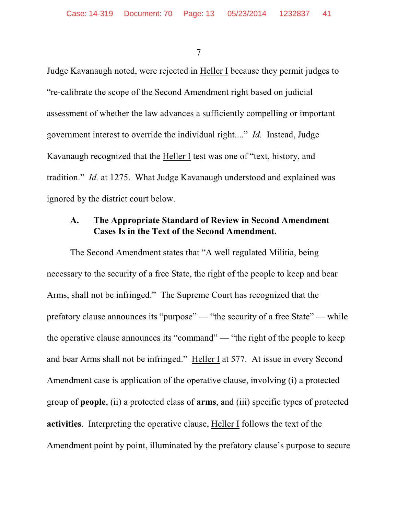Judge Kavanaugh noted, were rejected in Heller I because they permit judges to "re-calibrate the scope of the Second Amendment right based on judicial assessment of whether the law advances a sufficiently compelling or important government interest to override the individual right...." *Id.* Instead, Judge Kavanaugh recognized that the Heller I test was one of "text, history, and tradition." *Id.* at 1275. What Judge Kavanaugh understood and explained was ignored by the district court below.

# **A. The Appropriate Standard of Review in Second Amendment Cases Is in the Text of the Second Amendment.**

The Second Amendment states that "A well regulated Militia, being necessary to the security of a free State, the right of the people to keep and bear Arms, shall not be infringed." The Supreme Court has recognized that the prefatory clause announces its "purpose" — "the security of a free State" — while the operative clause announces its "command" — "the right of the people to keep and bear Arms shall not be infringed." Heller I at 577. At issue in every Second Amendment case is application of the operative clause, involving (i) a protected group of **people**, (ii) a protected class of **arms**, and (iii) specific types of protected **activities**. Interpreting the operative clause, Heller I follows the text of the Amendment point by point, illuminated by the prefatory clause's purpose to secure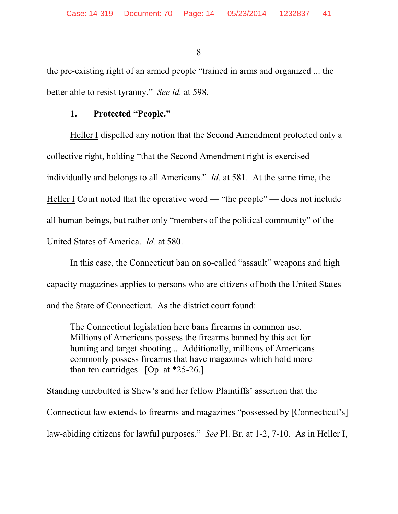the pre-existing right of an armed people "trained in arms and organized ... the better able to resist tyranny." *See id.* at 598.

#### **1. Protected "People."**

Heller I dispelled any notion that the Second Amendment protected only a collective right, holding "that the Second Amendment right is exercised individually and belongs to all Americans." *Id.* at 581. At the same time, the Heller I Court noted that the operative word — "the people" — does not include all human beings, but rather only "members of the political community" of the United States of America. *Id.* at 580.

In this case, the Connecticut ban on so-called "assault" weapons and high capacity magazines applies to persons who are citizens of both the United States and the State of Connecticut. As the district court found:

The Connecticut legislation here bans firearms in common use. Millions of Americans possess the firearms banned by this act for hunting and target shooting... Additionally, millions of Americans commonly possess firearms that have magazines which hold more than ten cartridges. [Op. at \*25-26.]

Standing unrebutted is Shew's and her fellow Plaintiffs' assertion that the Connecticut law extends to firearms and magazines "possessed by [Connecticut's] law-abiding citizens for lawful purposes." *See* Pl. Br. at 1-2, 7-10. As in Heller I,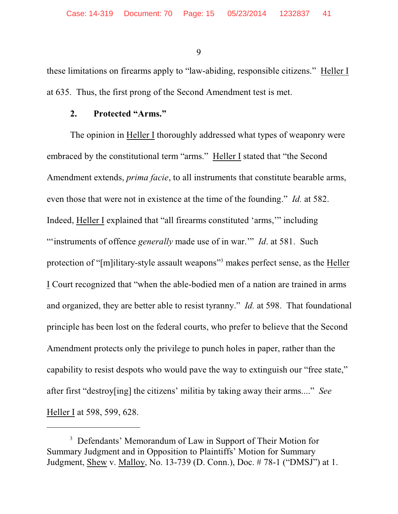these limitations on firearms apply to "law-abiding, responsible citizens." Heller I at 635. Thus, the first prong of the Second Amendment test is met.

#### **2. Protected "Arms."**

The opinion in Heller I thoroughly addressed what types of weaponry were embraced by the constitutional term "arms." Heller I stated that "the Second Amendment extends, *prima facie*, to all instruments that constitute bearable arms, even those that were not in existence at the time of the founding." *Id.* at 582. Indeed, Heller I explained that "all firearms constituted 'arms,'" including ""instruments of offence *generally* made use of in war."" *Id.* at 581. Such protection of "[m]ilitary-style assault weapons" makes perfect sense, as the Heller I Court recognized that "when the able-bodied men of a nation are trained in arms and organized, they are better able to resist tyranny." *Id.* at 598. That foundational principle has been lost on the federal courts, who prefer to believe that the Second Amendment protects only the privilege to punch holes in paper, rather than the capability to resist despots who would pave the way to extinguish our "free state," after first "destroy[ing] the citizens' militia by taking away their arms...." *See* Heller I at 598, 599, 628.

<sup>&</sup>lt;sup>3</sup> Defendants' Memorandum of Law in Support of Their Motion for Summary Judgment and in Opposition to Plaintiffs' Motion for Summary Judgment, Shew v. Malloy, No. 13-739 (D. Conn.), Doc. # 78-1 ("DMSJ") at 1.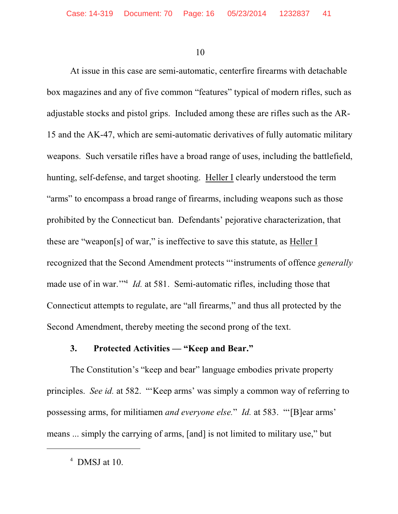At issue in this case are semi-automatic, centerfire firearms with detachable box magazines and any of five common "features" typical of modern rifles, such as adjustable stocks and pistol grips. Included among these are rifles such as the AR-15 and the AK-47, which are semi-automatic derivatives of fully automatic military weapons. Such versatile rifles have a broad range of uses, including the battlefield, hunting, self-defense, and target shooting. Heller I clearly understood the term "arms" to encompass a broad range of firearms, including weapons such as those prohibited by the Connecticut ban. Defendants' pejorative characterization, that these are "weapon[s] of war," is ineffective to save this statute, as Heller I recognized that the Second Amendment protects "'instruments of offence *generally* made use of in war."<sup>4</sup> *Id.* at 581. Semi-automatic rifles, including those that Connecticut attempts to regulate, are "all firearms," and thus all protected by the Second Amendment, thereby meeting the second prong of the text.

#### **3. Protected Activities — "Keep and Bear."**

The Constitution's "keep and bear" language embodies private property principles. *See id.* at 582. "'Keep arms' was simply a common way of referring to possessing arms, for militiamen *and everyone else.*" *Id.* at 583. "'[B]ear arms' means ... simply the carrying of arms, [and] is not limited to military use," but

 $4$  DMSJ at 10.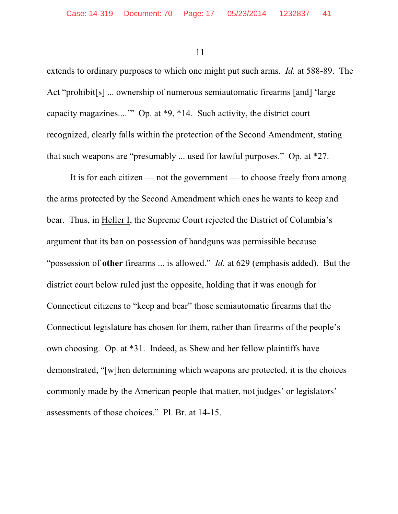extends to ordinary purposes to which one might put such arms. *Id.* at 588-89. The Act "prohibit[s] ... ownership of numerous semiautomatic firearms [and] 'large capacity magazines....'" Op. at \*9, \*14. Such activity, the district court recognized, clearly falls within the protection of the Second Amendment, stating that such weapons are "presumably ... used for lawful purposes." Op. at \*27.

It is for each citizen — not the government — to choose freely from among the arms protected by the Second Amendment which ones he wants to keep and bear. Thus, in Heller I, the Supreme Court rejected the District of Columbia's argument that its ban on possession of handguns was permissible because "possession of **other** firearms ... is allowed." *Id.* at 629 (emphasis added). But the district court below ruled just the opposite, holding that it was enough for Connecticut citizens to "keep and bear" those semiautomatic firearms that the Connecticut legislature has chosen for them, rather than firearms of the people's own choosing. Op. at \*31. Indeed, as Shew and her fellow plaintiffs have demonstrated, "[w]hen determining which weapons are protected, it is the choices commonly made by the American people that matter, not judges' or legislators' assessments of those choices." Pl. Br. at 14-15.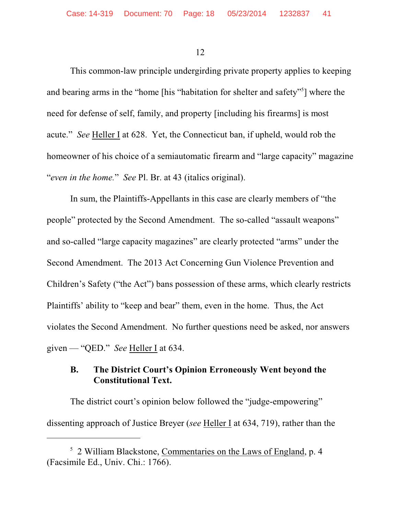This common-law principle undergirding private property applies to keeping and bearing arms in the "home [his "habitation for shelter and safety"<sup>5</sup>] where the need for defense of self, family, and property [including his firearms] is most acute." *See* Heller I at 628. Yet, the Connecticut ban, if upheld, would rob the homeowner of his choice of a semiautomatic firearm and "large capacity" magazine "*even in the home.*" *See* Pl. Br. at 43 (italics original).

In sum, the Plaintiffs-Appellants in this case are clearly members of "the people" protected by the Second Amendment. The so-called "assault weapons" and so-called "large capacity magazines" are clearly protected "arms" under the Second Amendment. The 2013 Act Concerning Gun Violence Prevention and Children's Safety ("the Act") bans possession of these arms, which clearly restricts Plaintiffs' ability to "keep and bear" them, even in the home. Thus, the Act violates the Second Amendment. No further questions need be asked, nor answers given — "QED." *See* Heller I at 634.

# **B. The District Court's Opinion Erroneously Went beyond the Constitutional Text.**

The district court's opinion below followed the "judge-empowering" dissenting approach of Justice Breyer (*see* Heller I at 634, 719), rather than the

 $<sup>5</sup>$  2 William Blackstone, Commentaries on the Laws of England, p. 4</sup> (Facsimile Ed., Univ. Chi.: 1766).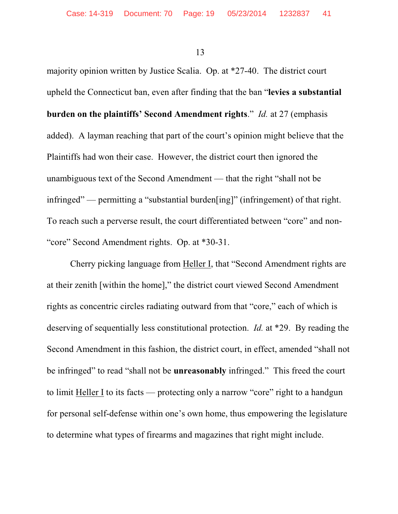majority opinion written by Justice Scalia. Op. at \*27-40. The district court upheld the Connecticut ban, even after finding that the ban "**levies a substantial burden on the plaintiffs' Second Amendment rights**." *Id.* at 27 (emphasis added). A layman reaching that part of the court's opinion might believe that the Plaintiffs had won their case. However, the district court then ignored the unambiguous text of the Second Amendment — that the right "shall not be infringed" — permitting a "substantial burden[ing]" (infringement) of that right. To reach such a perverse result, the court differentiated between "core" and non- "core" Second Amendment rights. Op. at \*30-31.

Cherry picking language from Heller I, that "Second Amendment rights are at their zenith [within the home]," the district court viewed Second Amendment rights as concentric circles radiating outward from that "core," each of which is deserving of sequentially less constitutional protection. *Id.* at \*29. By reading the Second Amendment in this fashion, the district court, in effect, amended "shall not be infringed" to read "shall not be **unreasonably** infringed." This freed the court to limit Heller I to its facts — protecting only a narrow "core" right to a handgun for personal self-defense within one's own home, thus empowering the legislature to determine what types of firearms and magazines that right might include.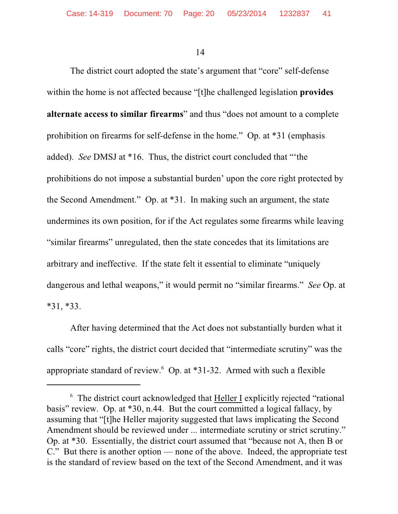The district court adopted the state's argument that "core" self-defense within the home is not affected because "[t]he challenged legislation **provides alternate access to similar firearms**" and thus "does not amount to a complete prohibition on firearms for self-defense in the home." Op. at \*31 (emphasis added). *See* DMSJ at \*16. Thus, the district court concluded that "'the prohibitions do not impose a substantial burden' upon the core right protected by the Second Amendment." Op. at \*31. In making such an argument, the state undermines its own position, for if the Act regulates some firearms while leaving "similar firearms" unregulated, then the state concedes that its limitations are arbitrary and ineffective. If the state felt it essential to eliminate "uniquely dangerous and lethal weapons," it would permit no "similar firearms." *See* Op. at \*31, \*33.

After having determined that the Act does not substantially burden what it calls "core" rights, the district court decided that "intermediate scrutiny" was the appropriate standard of review.<sup>6</sup> Op. at \*31-32. Armed with such a flexible

 $6$  The district court acknowledged that Heller I explicitly rejected "rational basis" review. Op. at \*30, n.44. But the court committed a logical fallacy, by assuming that "[t]he Heller majority suggested that laws implicating the Second Amendment should be reviewed under ... intermediate scrutiny or strict scrutiny." Op. at \*30. Essentially, the district court assumed that "because not A, then B or C." But there is another option — none of the above. Indeed, the appropriate test is the standard of review based on the text of the Second Amendment, and it was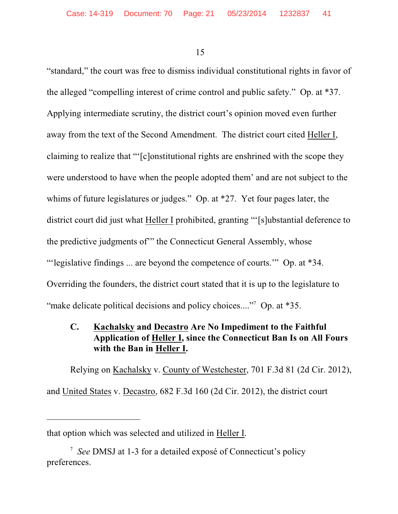"standard," the court was free to dismiss individual constitutional rights in favor of the alleged "compelling interest of crime control and public safety." Op. at \*37. Applying intermediate scrutiny, the district court's opinion moved even further away from the text of the Second Amendment. The district court cited Heller I, claiming to realize that "'[c]onstitutional rights are enshrined with the scope they were understood to have when the people adopted them' and are not subject to the whims of future legislatures or judges." Op. at \*27. Yet four pages later, the district court did just what Heller I prohibited, granting "'[s]ubstantial deference to the predictive judgments of'" the Connecticut General Assembly, whose "'legislative findings ... are beyond the competence of courts.'" Op. at \*34. Overriding the founders, the district court stated that it is up to the legislature to "make delicate political decisions and policy choices...."<sup>7</sup> Op. at \*35.

# **C. Kachalsky and Decastro Are No Impediment to the Faithful Application of Heller I, since the Connecticut Ban Is on All Fours with the Ban in Heller I.**

Relying on Kachalsky v. County of Westchester, 701 F.3d 81 (2d Cir. 2012), and United States v. Decastro, 682 F.3d 160 (2d Cir. 2012), the district court

that option which was selected and utilized in Heller I.

<sup>&</sup>lt;sup>7</sup> See DMSJ at 1-3 for a detailed exposé of Connecticut's policy preferences.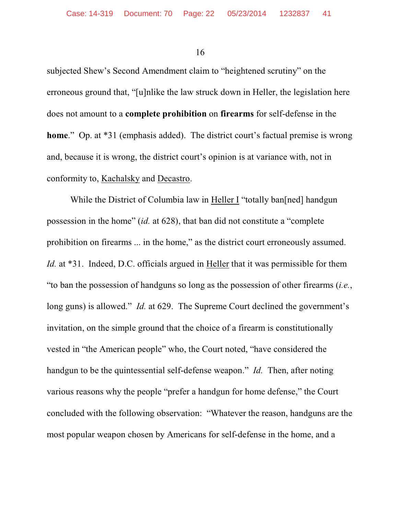subjected Shew's Second Amendment claim to "heightened scrutiny" on the erroneous ground that, "[u]nlike the law struck down in Heller, the legislation here does not amount to a **complete prohibition** on **firearms** for self-defense in the **home**." Op. at \*31 (emphasis added). The district court's factual premise is wrong and, because it is wrong, the district court's opinion is at variance with, not in conformity to, Kachalsky and Decastro.

While the District of Columbia law in Heller I "totally ban[ned] handgun possession in the home" (*id.* at 628), that ban did not constitute a "complete prohibition on firearms ... in the home," as the district court erroneously assumed. *Id.* at \*31. Indeed, D.C. officials argued in Heller that it was permissible for them "to ban the possession of handguns so long as the possession of other firearms (*i.e.*, long guns) is allowed." *Id.* at 629. The Supreme Court declined the government's invitation, on the simple ground that the choice of a firearm is constitutionally vested in "the American people" who, the Court noted, "have considered the handgun to be the quintessential self-defense weapon." *Id.* Then, after noting various reasons why the people "prefer a handgun for home defense," the Court concluded with the following observation: "Whatever the reason, handguns are the most popular weapon chosen by Americans for self-defense in the home, and a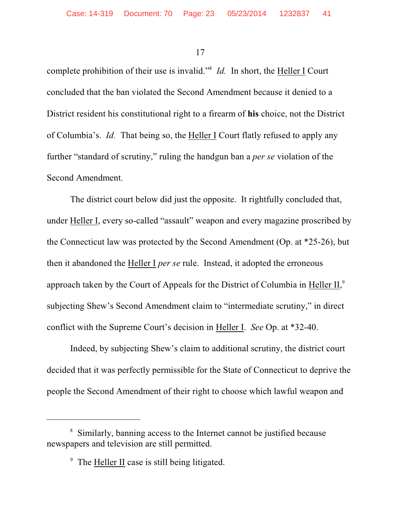complete prohibition of their use is invalid."<sup>8</sup> *Id.* In short, the Heller I Court concluded that the ban violated the Second Amendment because it denied to a District resident his constitutional right to a firearm of **his** choice, not the District of Columbia's. *Id.* That being so, the Heller I Court flatly refused to apply any further "standard of scrutiny," ruling the handgun ban a *per se* violation of the Second Amendment.

The district court below did just the opposite. It rightfully concluded that, under Heller I, every so-called "assault" weapon and every magazine proscribed by the Connecticut law was protected by the Second Amendment (Op. at \*25-26), but then it abandoned the Heller I *per se* rule. Instead, it adopted the erroneous approach taken by the Court of Appeals for the District of Columbia in Heller II,<sup>9</sup> subjecting Shew's Second Amendment claim to "intermediate scrutiny," in direct conflict with the Supreme Court's decision in Heller I. *See* Op. at \*32-40.

Indeed, by subjecting Shew's claim to additional scrutiny, the district court decided that it was perfectly permissible for the State of Connecticut to deprive the people the Second Amendment of their right to choose which lawful weapon and

<sup>&</sup>lt;sup>8</sup> Similarly, banning access to the Internet cannot be justified because newspapers and television are still permitted.

 $\degree$  The Heller II case is still being litigated.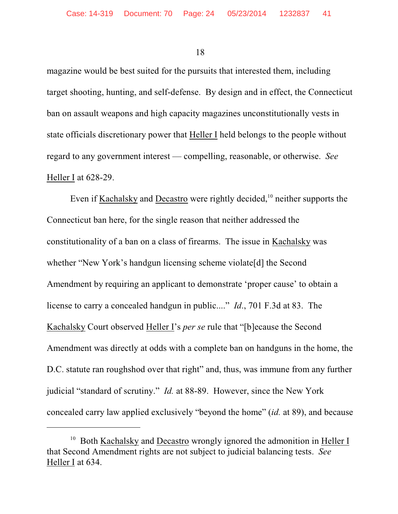magazine would be best suited for the pursuits that interested them, including target shooting, hunting, and self-defense. By design and in effect, the Connecticut ban on assault weapons and high capacity magazines unconstitutionally vests in state officials discretionary power that Heller I held belongs to the people without regard to any government interest — compelling, reasonable, or otherwise. *See* Heller I at 628-29.

Even if Kachalsky and Decastro were rightly decided,  $10$  neither supports the Connecticut ban here, for the single reason that neither addressed the constitutionality of a ban on a class of firearms. The issue in Kachalsky was whether "New York's handgun licensing scheme violate[d] the Second Amendment by requiring an applicant to demonstrate 'proper cause' to obtain a license to carry a concealed handgun in public...." *Id*., 701 F.3d at 83. The Kachalsky Court observed Heller I's *per se* rule that "[b]ecause the Second Amendment was directly at odds with a complete ban on handguns in the home, the D.C. statute ran roughshod over that right" and, thus, was immune from any further judicial "standard of scrutiny." *Id.* at 88-89. However, since the New York concealed carry law applied exclusively "beyond the home" (*id.* at 89), and because

 $10$  Both Kachalsky and Decastro wrongly ignored the admonition in Heller I that Second Amendment rights are not subject to judicial balancing tests. *See* Heller I at 634.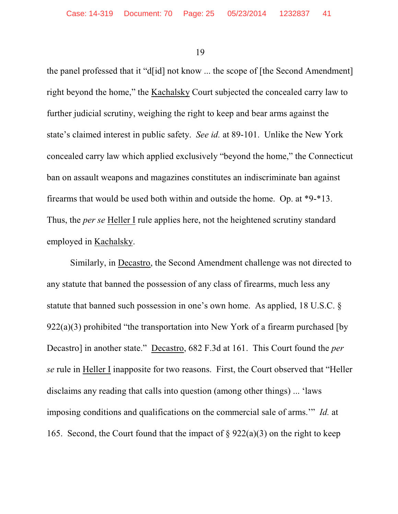the panel professed that it "d[id] not know ... the scope of [the Second Amendment] right beyond the home," the Kachalsky Court subjected the concealed carry law to further judicial scrutiny, weighing the right to keep and bear arms against the state's claimed interest in public safety. *See id.* at 89-101. Unlike the New York concealed carry law which applied exclusively "beyond the home," the Connecticut ban on assault weapons and magazines constitutes an indiscriminate ban against firearms that would be used both within and outside the home. Op. at \*9-\*13. Thus, the *per se* Heller I rule applies here, not the heightened scrutiny standard employed in Kachalsky.

Similarly, in Decastro, the Second Amendment challenge was not directed to any statute that banned the possession of any class of firearms, much less any statute that banned such possession in one's own home. As applied, 18 U.S.C. §  $922(a)(3)$  prohibited "the transportation into New York of a firearm purchased [by Decastro] in another state." Decastro, 682 F.3d at 161. This Court found the *per se* rule in Heller I inapposite for two reasons. First, the Court observed that "Heller disclaims any reading that calls into question (among other things) ... 'laws imposing conditions and qualifications on the commercial sale of arms.'" *Id.* at 165. Second, the Court found that the impact of  $\S 922(a)(3)$  on the right to keep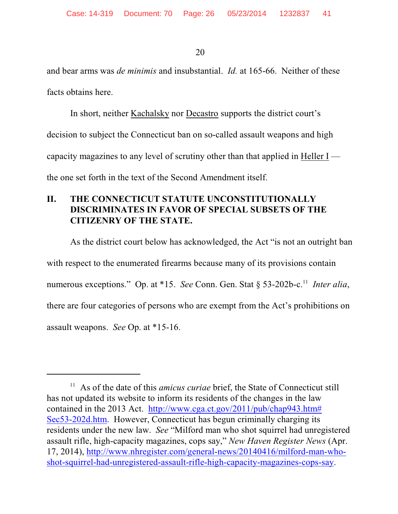and bear arms was *de minimis* and insubstantial. *Id.* at 165-66. Neither of these facts obtains here.

In short, neither Kachalsky nor Decastro supports the district court's decision to subject the Connecticut ban on so-called assault weapons and high capacity magazines to any level of scrutiny other than that applied in Heller I the one set forth in the text of the Second Amendment itself.

# **II. THE CONNECTICUT STATUTE UNCONSTITUTIONALLY DISCRIMINATES IN FAVOR OF SPECIAL SUBSETS OF THE CITIZENRY OF THE STATE.**

As the district court below has acknowledged, the Act "is not an outright ban with respect to the enumerated firearms because many of its provisions contain numerous exceptions." Op. at \*15. *See* Conn. Gen. Stat § 53-202b-c.<sup>11</sup> Inter alia, there are four categories of persons who are exempt from the Act's prohibitions on assault weapons. *See* Op. at \*15-16.

<sup>&</sup>lt;sup>11</sup> As of the date of this *amicus curiae* brief, the State of Connecticut still has not updated its website to inform its residents of the changes in the law contained in the 2013 Act. [http://www.cga.ct.gov/2011/pub/chap943.htm#](http://www.cga.ct.gov/2011/pub/chap943.htm#Sec53-202d.htm) [Sec53-202d.htm](http://www.cga.ct.gov/2011/pub/chap943.htm#Sec53-202d.htm). However, Connecticut has begun criminally charging its residents under the new law. *See* "Milford man who shot squirrel had unregistered assault rifle, high-capacity magazines, cops say," *New Haven Register News* (Apr. 17, 2014), [http://www.nhregister.com/general-news/20140416/milford-man-who](http://www.nhregister.com/general-news/20140416/milford-man-who-shot-squirrel-had-unregistered-assault-rifle-high-capacity-magazines-cops-say)[shot-squirrel-had-unregistered-assault-rifle-high-capacity-magazines-cops-say](http://www.nhregister.com/general-news/20140416/milford-man-who-shot-squirrel-had-unregistered-assault-rifle-high-capacity-magazines-cops-say).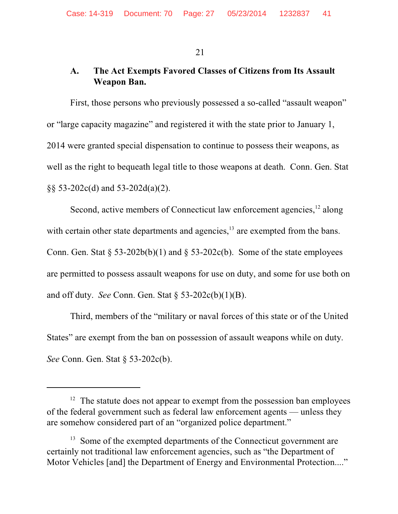# **A. The Act Exempts Favored Classes of Citizens from Its Assault Weapon Ban.**

First, those persons who previously possessed a so-called "assault weapon" or "large capacity magazine" and registered it with the state prior to January 1, 2014 were granted special dispensation to continue to possess their weapons, as well as the right to bequeath legal title to those weapons at death. Conn. Gen. Stat §§ 53-202c(d) and 53-202d(a)(2).

Second, active members of Connecticut law enforcement agencies, $12$  along with certain other state departments and agencies,  $\frac{13}{13}$  are exempted from the bans. Conn. Gen. Stat  $\S 53-202b(b)(1)$  and  $\S 53-202c(b)$ . Some of the state employees are permitted to possess assault weapons for use on duty, and some for use both on and off duty. *See* Conn. Gen. Stat § 53-202c(b)(1)(B).

Third, members of the "military or naval forces of this state or of the United States" are exempt from the ban on possession of assault weapons while on duty. *See* Conn. Gen. Stat § 53-202c(b).

 $12$  The statute does not appear to exempt from the possession ban employees of the federal government such as federal law enforcement agents — unless they are somehow considered part of an "organized police department."

 $13$  Some of the exempted departments of the Connecticut government are certainly not traditional law enforcement agencies, such as "the Department of Motor Vehicles [and] the Department of Energy and Environmental Protection...."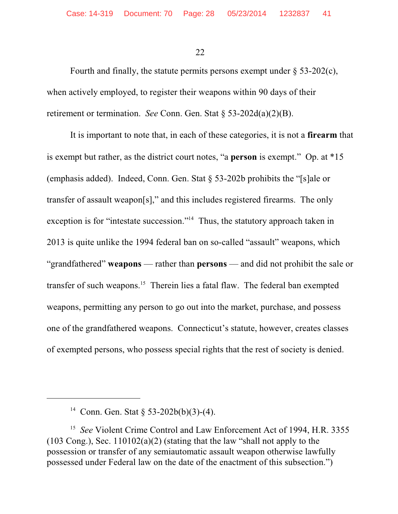Fourth and finally, the statute permits persons exempt under  $\S$  53-202(c), when actively employed, to register their weapons within 90 days of their retirement or termination. *See* Conn. Gen. Stat § 53-202d(a)(2)(B).

It is important to note that, in each of these categories, it is not a **firearm** that is exempt but rather, as the district court notes, "a **person** is exempt." Op. at \*15 (emphasis added). Indeed, Conn. Gen. Stat § 53-202b prohibits the "[s]ale or transfer of assault weapon[s]," and this includes registered firearms. The only exception is for "intestate succession."<sup> $14$ </sup> Thus, the statutory approach taken in 2013 is quite unlike the 1994 federal ban on so-called "assault" weapons, which "grandfathered" **weapons** — rather than **persons** — and did not prohibit the sale or transfer of such weapons.<sup>15</sup> Therein lies a fatal flaw. The federal ban exempted weapons, permitting any person to go out into the market, purchase, and possess one of the grandfathered weapons. Connecticut's statute, however, creates classes of exempted persons, who possess special rights that the rest of society is denied.

<sup>&</sup>lt;sup>14</sup> Conn. Gen. Stat § 53-202b(b)(3)-(4).

<sup>&</sup>lt;sup>15</sup> See Violent Crime Control and Law Enforcement Act of 1994, H.R. 3355 (103 Cong.), Sec.  $110102(a)(2)$  (stating that the law "shall not apply to the possession or transfer of any semiautomatic assault weapon otherwise lawfully possessed under Federal law on the date of the enactment of this subsection.")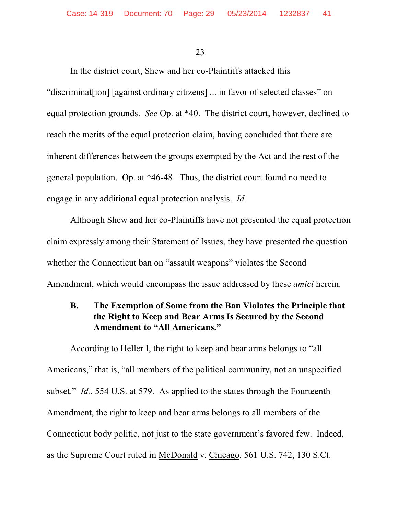In the district court, Shew and her co-Plaintiffs attacked this "discriminat[ion] [against ordinary citizens] ... in favor of selected classes" on equal protection grounds. *See* Op. at \*40. The district court, however, declined to reach the merits of the equal protection claim, having concluded that there are inherent differences between the groups exempted by the Act and the rest of the general population. Op. at \*46-48. Thus, the district court found no need to engage in any additional equal protection analysis. *Id.*

Although Shew and her co-Plaintiffs have not presented the equal protection claim expressly among their Statement of Issues, they have presented the question whether the Connecticut ban on "assault weapons" violates the Second Amendment, which would encompass the issue addressed by these *amici* herein.

# **B. The Exemption of Some from the Ban Violates the Principle that the Right to Keep and Bear Arms Is Secured by the Second Amendment to "All Americans."**

According to Heller I, the right to keep and bear arms belongs to "all Americans," that is, "all members of the political community, not an unspecified subset." *Id.*, 554 U.S. at 579. As applied to the states through the Fourteenth Amendment, the right to keep and bear arms belongs to all members of the Connecticut body politic, not just to the state government's favored few. Indeed, as the Supreme Court ruled in McDonald v. Chicago, 561 U.S. 742, 130 S.Ct.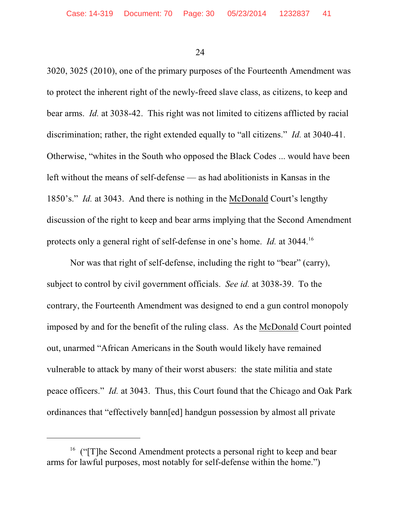3020, 3025 (2010), one of the primary purposes of the Fourteenth Amendment was to protect the inherent right of the newly-freed slave class, as citizens, to keep and bear arms. *Id.* at 3038-42. This right was not limited to citizens afflicted by racial discrimination; rather, the right extended equally to "all citizens." *Id.* at 3040-41. Otherwise, "whites in the South who opposed the Black Codes ... would have been left without the means of self-defense — as had abolitionists in Kansas in the 1850's." *Id.* at 3043. And there is nothing in the McDonald Court's lengthy discussion of the right to keep and bear arms implying that the Second Amendment protects only a general right of self-defense in one's home. *Id.* at 3044.16

Nor was that right of self-defense, including the right to "bear" (carry), subject to control by civil government officials. *See id.* at 3038-39. To the contrary, the Fourteenth Amendment was designed to end a gun control monopoly imposed by and for the benefit of the ruling class. As the McDonald Court pointed out, unarmed "African Americans in the South would likely have remained vulnerable to attack by many of their worst abusers: the state militia and state peace officers." *Id.* at 3043. Thus, this Court found that the Chicago and Oak Park ordinances that "effectively bann[ed] handgun possession by almost all private

<sup>&</sup>lt;sup>16</sup> (" $[T]$ he Second Amendment protects a personal right to keep and bear arms for lawful purposes, most notably for self-defense within the home.")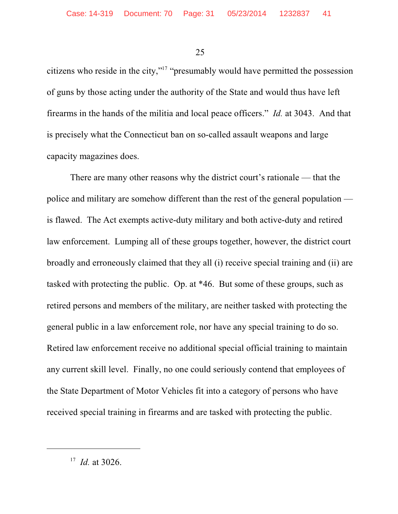citizens who reside in the city,"<sup>17</sup> "presumably would have permitted the possession of guns by those acting under the authority of the State and would thus have left firearms in the hands of the militia and local peace officers." *Id.* at 3043. And that is precisely what the Connecticut ban on so-called assault weapons and large capacity magazines does.

There are many other reasons why the district court's rationale — that the police and military are somehow different than the rest of the general population is flawed. The Act exempts active-duty military and both active-duty and retired law enforcement. Lumping all of these groups together, however, the district court broadly and erroneously claimed that they all (i) receive special training and (ii) are tasked with protecting the public. Op. at \*46. But some of these groups, such as retired persons and members of the military, are neither tasked with protecting the general public in a law enforcement role, nor have any special training to do so. Retired law enforcement receive no additional special official training to maintain any current skill level. Finally, no one could seriously contend that employees of the State Department of Motor Vehicles fit into a category of persons who have received special training in firearms and are tasked with protecting the public.

 $17$  *Id.* at 3026.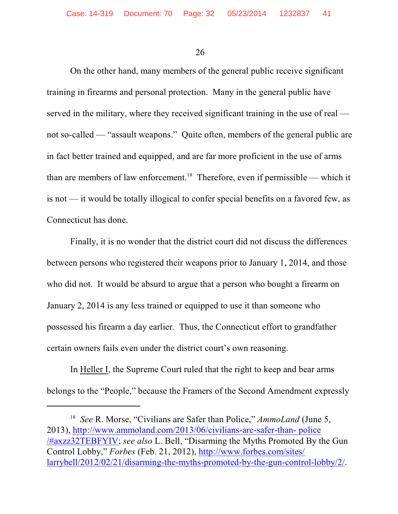On the other hand, many members of the general public receive significant training in firearms and personal protection. Many in the general public have served in the military, where they received significant training in the use of real not so-called — "assault weapons." Quite often, members of the general public are in fact better trained and equipped, and are far more proficient in the use of arms than are members of law enforcement.<sup>18</sup> Therefore, even if permissible — which it is not — it would be totally illogical to confer special benefits on a favored few, as Connecticut has done.

Finally, it is no wonder that the district court did not discuss the differences between persons who registered their weapons prior to January 1, 2014, and those who did not. It would be absurd to argue that a person who bought a firearm on January 2, 2014 is any less trained or equipped to use it than someone who possessed his firearm a day earlier. Thus, the Connecticut effort to grandfather certain owners fails even under the district court's own reasoning.

In Heller I, the Supreme Court ruled that the right to keep and bear arms belongs to the "People," because the Framers of the Second Amendment expressly

<sup>&</sup>lt;sup>18</sup> *See* R. Morse, "Civilians are Safer than Police," *AmmoLand* (June 5, 2013), [http://www.ammoland.com/2013/06/civilians-are-safer-than- police](http://www.ammoland.com/2013/06/civilians-are-safer-than-police/#axzz32TEBFYIV) [/#axzz32TEBFYIV](http://www.ammoland.com/2013/06/civilians-are-safer-than-police/#axzz32TEBFYIV); *see also* L. Bell, "Disarming the Myths Promoted By the Gun Control Lobby," *Forbes* (Feb. 21, 2012), [http://www.forbes.com/sites/](http://www.forbes.com/sites/larrybell/2012/02/21/disarming-the-myths-promoted-by-the-gun-control-lobby/2/) [larrybell/2012/02/21/disarming-the-myths-promoted-by-the-gun-control-lobby/2/](http://www.forbes.com/sites/larrybell/2012/02/21/disarming-the-myths-promoted-by-the-gun-control-lobby/2/).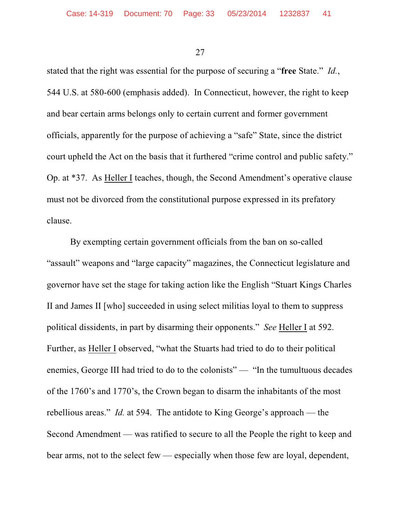stated that the right was essential for the purpose of securing a "**free** State." *Id.*, 544 U.S. at 580-600 (emphasis added). In Connecticut, however, the right to keep and bear certain arms belongs only to certain current and former government officials, apparently for the purpose of achieving a "safe" State, since the district court upheld the Act on the basis that it furthered "crime control and public safety." Op. at \*37. As Heller I teaches, though, the Second Amendment's operative clause must not be divorced from the constitutional purpose expressed in its prefatory clause.

By exempting certain government officials from the ban on so-called "assault" weapons and "large capacity" magazines, the Connecticut legislature and governor have set the stage for taking action like the English "Stuart Kings Charles II and James II [who] succeeded in using select militias loyal to them to suppress political dissidents, in part by disarming their opponents." *See* Heller I at 592. Further, as Heller I observed, "what the Stuarts had tried to do to their political enemies, George III had tried to do to the colonists" — "In the tumultuous decades of the 1760's and 1770's, the Crown began to disarm the inhabitants of the most rebellious areas." *Id.* at 594. The antidote to King George's approach — the Second Amendment — was ratified to secure to all the People the right to keep and bear arms, not to the select few — especially when those few are loyal, dependent,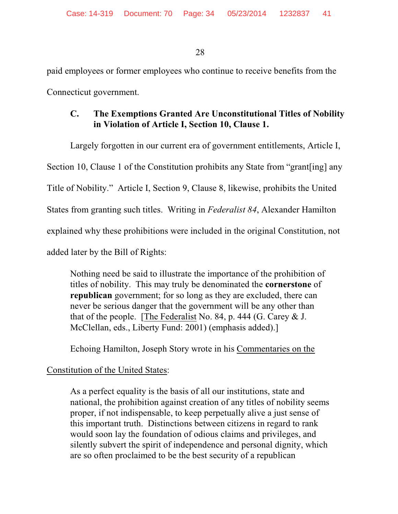paid employees or former employees who continue to receive benefits from the Connecticut government.

# **C. The Exemptions Granted Are Unconstitutional Titles of Nobility in Violation of Article I, Section 10, Clause 1.**

Largely forgotten in our current era of government entitlements, Article I,

Section 10, Clause 1 of the Constitution prohibits any State from "grant[ing] any

Title of Nobility." Article I, Section 9, Clause 8, likewise, prohibits the United

States from granting such titles. Writing in *Federalist 84*, Alexander Hamilton

explained why these prohibitions were included in the original Constitution, not

added later by the Bill of Rights:

Nothing need be said to illustrate the importance of the prohibition of titles of nobility. This may truly be denominated the **cornerstone** of **republican** government; for so long as they are excluded, there can never be serious danger that the government will be any other than that of the people. [The Federalist No. 84, p. 444 (G. Carey & J. McClellan, eds., Liberty Fund: 2001) (emphasis added).]

Echoing Hamilton, Joseph Story wrote in his Commentaries on the

# Constitution of the United States:

As a perfect equality is the basis of all our institutions, state and national, the prohibition against creation of any titles of nobility seems proper, if not indispensable, to keep perpetually alive a just sense of this important truth. Distinctions between citizens in regard to rank would soon lay the foundation of odious claims and privileges, and silently subvert the spirit of independence and personal dignity, which are so often proclaimed to be the best security of a republican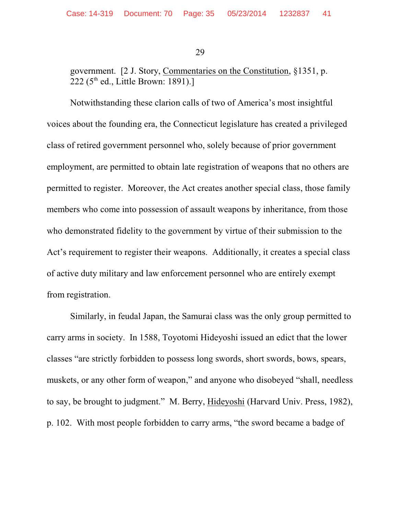government. [2 J. Story, Commentaries on the Constitution, §1351, p. 222 (5<sup>th</sup> ed., Little Brown: 1891).]

Notwithstanding these clarion calls of two of America's most insightful voices about the founding era, the Connecticut legislature has created a privileged class of retired government personnel who, solely because of prior government employment, are permitted to obtain late registration of weapons that no others are permitted to register. Moreover, the Act creates another special class, those family members who come into possession of assault weapons by inheritance, from those who demonstrated fidelity to the government by virtue of their submission to the Act's requirement to register their weapons. Additionally, it creates a special class of active duty military and law enforcement personnel who are entirely exempt from registration.

Similarly, in feudal Japan, the Samurai class was the only group permitted to carry arms in society. In 1588, Toyotomi Hideyoshi issued an edict that the lower classes "are strictly forbidden to possess long swords, short swords, bows, spears, muskets, or any other form of weapon," and anyone who disobeyed "shall, needless" to say, be brought to judgment." M. Berry, Hideyoshi (Harvard Univ. Press, 1982), p. 102. With most people forbidden to carry arms, "the sword became a badge of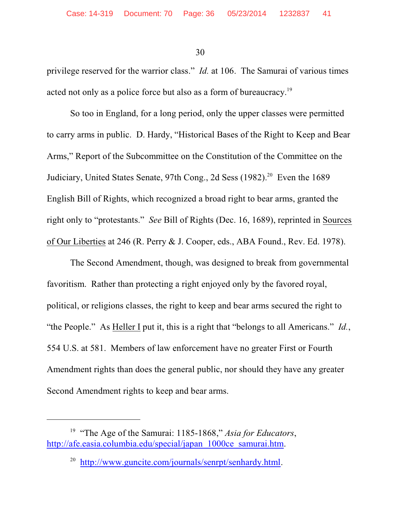privilege reserved for the warrior class." *Id.* at 106. The Samurai of various times acted not only as a police force but also as a form of bureaucracy.<sup>19</sup>

So too in England, for a long period, only the upper classes were permitted to carry arms in public. D. Hardy, "Historical Bases of the Right to Keep and Bear Arms," Report of the Subcommittee on the Constitution of the Committee on the Judiciary, United States Senate, 97th Cong., 2d Sess (1982).<sup>20</sup> Even the 1689 English Bill of Rights, which recognized a broad right to bear arms, granted the right only to "protestants." *See* Bill of Rights (Dec. 16, 1689), reprinted in Sources of Our Liberties at 246 (R. Perry & J. Cooper, eds., ABA Found., Rev. Ed. 1978).

The Second Amendment, though, was designed to break from governmental favoritism. Rather than protecting a right enjoyed only by the favored royal, political, or religions classes, the right to keep and bear arms secured the right to "the People." As Heller I put it, this is a right that "belongs to all Americans." *Id.*, 554 U.S. at 581. Members of law enforcement have no greater First or Fourth Amendment rights than does the general public, nor should they have any greater Second Amendment rights to keep and bear arms.

<sup>&</sup>lt;sup>19</sup> "The Age of the Samurai: 1185-1868," *Asia for Educators*, [http://afe.easia.columbia.edu/special/japan\\_1000ce\\_samurai.htm](http://afe.easia.columbia.edu/special/japan_1000ce_samurai.htm).

 <sup>20</sup> <http://www.guncite.com/journals/senrpt/senhardy.html>.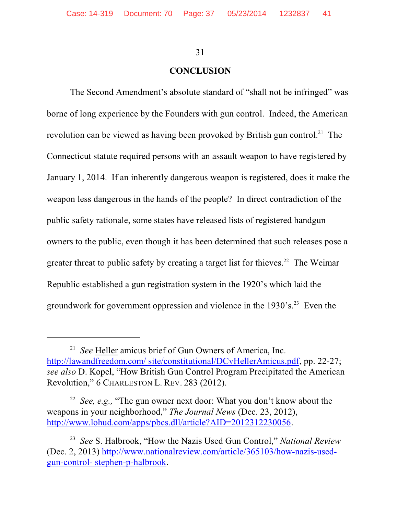#### **CONCLUSION**

The Second Amendment's absolute standard of "shall not be infringed" was borne of long experience by the Founders with gun control. Indeed, the American revolution can be viewed as having been provoked by British gun control.<sup>21</sup> The Connecticut statute required persons with an assault weapon to have registered by January 1, 2014. If an inherently dangerous weapon is registered, does it make the weapon less dangerous in the hands of the people? In direct contradiction of the public safety rationale, some states have released lists of registered handgun owners to the public, even though it has been determined that such releases pose a greater threat to public safety by creating a target list for thieves.<sup>22</sup> The Weimar Republic established a gun registration system in the 1920's which laid the groundwork for government oppression and violence in the  $1930$ 's.<sup>23</sup> Even the

<sup>&</sup>lt;sup>21</sup> See Heller amicus brief of Gun Owners of America, Inc. [http://lawandfreedom.com/ site/constitutional/DCvHellerAmicus.pdf](lawandfreedom.com/site/constitutional/DCvHellerAmicus.pdf), pp. 22-27; *see also* D. Kopel, "How British Gun Control Program Precipitated the American Revolution," 6 CHARLESTON L. REV. 283 (2012).

<sup>&</sup>lt;sup>22</sup> *See, e.g.,* "The gun owner next door: What you don't know about the weapons in your neighborhood," *The Journal News* (Dec. 23, 2012), <http://www.lohud.com/apps/pbcs.dll/article?AID=2012312230056>.

<sup>&</sup>lt;sup>23</sup> See S. Halbrook, "How the Nazis Used Gun Control," *National Review* (Dec. 2, 2013) [http://www.nationalreview.com/article/365103/how-nazis-used](http://www.nationalreview.com/article/365103/how-nazis-used-gun-control-stephen-p-halbrook)[gun-control- stephen-p-halbrook](http://www.nationalreview.com/article/365103/how-nazis-used-gun-control-stephen-p-halbrook).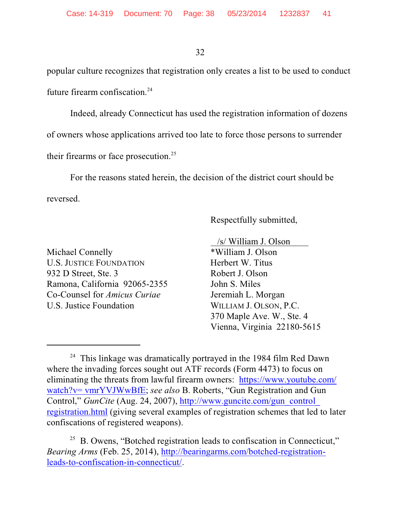popular culture recognizes that registration only creates a list to be used to conduct future firearm confiscation.<sup>24</sup>

Indeed, already Connecticut has used the registration information of dozens of owners whose applications arrived too late to force those persons to surrender their firearms or face prosecution. 25

For the reasons stated herein, the decision of the district court should be reversed.

Respectfully submitted,

Michael Connelly U.S. JUSTICE FOUNDATION Herbert W. Titus 932 D Street, Ste. 3 Robert J. Olson Ramona, California 92065-2355 John S. Miles Co-Counsel for *Amicus Curiae* Jeremiah L. Morgan U.S. Justice Foundation WILLIAM J. OLSON, P.C.

 /s/ William J. Olson 370 Maple Ave. W., Ste. 4 Vienna, Virginia 22180-5615

 $24$  This linkage was dramatically portrayed in the 1984 film Red Dawn where the invading forces sought out ATF records (Form 4473) to focus on eliminating the threats from lawful firearm owners: [https://www.youtube.com/](https://www.youtube.com/watch?v=vmrYVJWwBfE) [watch?v= vmrYVJWwBfE](https://www.youtube.com/watch?v=vmrYVJWwBfE); *see also* B. Roberts, "Gun Registration and Gun Control," *GunCite* (Aug. 24, 2007), [http://www.guncite.com/gun\\_control\\_](http://www.guncite.com/gun_control_registration.html) [registration.html](http://www.guncite.com/gun_control_registration.html) (giving several examples of registration schemes that led to later confiscations of registered weapons).

<sup>&</sup>lt;sup>25</sup> B. Owens, "Botched registration leads to confiscation in Connecticut," *Bearing Arms* (Feb. 25, 2014), [http://bearingarms.com/botched-registration](http://bearingarms.com/botched-registration-leads-to-confiscation-in-connecticut/)[leads-to-confiscation-in-connecticut/](http://bearingarms.com/botched-registration-leads-to-confiscation-in-connecticut/).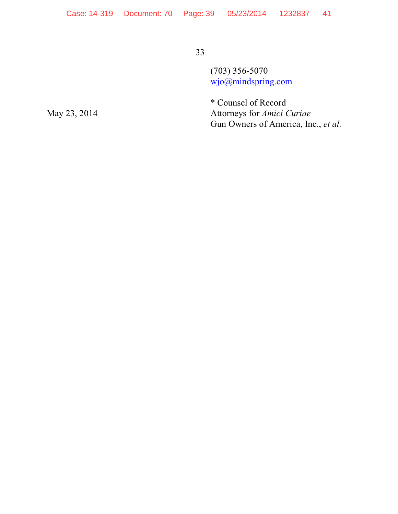$(703)$  356-5070  $w$ jo( $\omega$ )mindspring.com

\* Counsel of Record Attorneys for Amici Curiae Gun Owners of America, Inc., et al.

May 23, 2014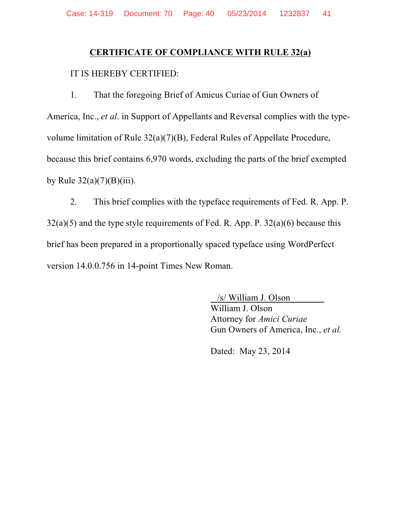# **CERTIFICATE OF COMPLIANCE WITH RULE 32(a)**

#### IT IS HEREBY CERTIFIED:

That the foregoing Brief of Amicus Curiae of Gun Owners of  $1<sub>1</sub>$ America, Inc., et al. in Support of Appellants and Reversal complies with the typevolume limitation of Rule  $32(a)(7)(B)$ , Federal Rules of Appellate Procedure, because this brief contains 6,970 words, excluding the parts of the brief exempted by Rule  $32(a)(7)(B)(iii)$ .

This brief complies with the typeface requirements of Fed. R. App. P.  $2.$  $32(a)(5)$  and the type style requirements of Fed. R. App. P.  $32(a)(6)$  because this brief has been prepared in a proportionally spaced typeface using WordPerfect version 14.0.0.756 in 14-point Times New Roman.

> /s/ William J. Olson William J. Olson Attorney for Amici Curiae Gun Owners of America, Inc., et al.

Dated: May 23, 2014